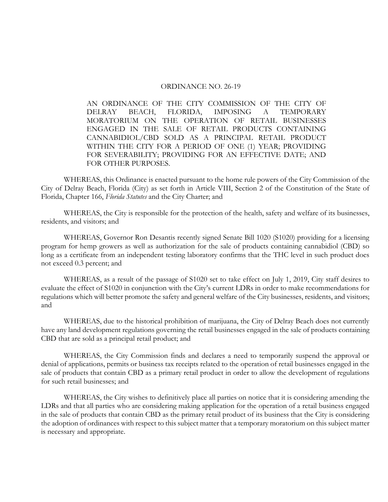## ORDINANCE NO. 26-19

AN ORDINANCE OF THE CITY COMMISSION OF THE CITY OF DELRAY BEACH, FLORIDA, IMPOSING A TEMPORARY MORATORIUM ON THE OPERATION OF RETAIL BUSINESSES ENGAGED IN THE SALE OF RETAIL PRODUCTS CONTAINING CANNABIDIOL/CBD SOLD AS A PRINCIPAL RETAIL PRODUCT WITHIN THE CITY FOR A PERIOD OF ONE (1) YEAR; PROVIDING FOR SEVERABILITY; PROVIDING FOR AN EFFECTIVE DATE; AND FOR OTHER PURPOSES.

WHEREAS, this Ordinance is enacted pursuant to the home rule powers of the City Commission of the City of Delray Beach, Florida (City) as set forth in Article VIII, Section 2 of the Constitution of the State of Florida, Chapter 166, *Florida Statutes* and the City Charter; and

WHEREAS, the City is responsible for the protection of the health, safety and welfare of its businesses, residents, and visitors; and

WHEREAS, Governor Ron Desantis recently signed Senate Bill 1020 (S1020) providing for a licensing program for hemp growers as well as authorization for the sale of products containing cannabidiol (CBD) so long as a certificate from an independent testing laboratory confirms that the THC level in such product does not exceed 0.3 percent; and

WHEREAS, as a result of the passage of S1020 set to take effect on July 1, 2019, City staff desires to evaluate the effect of S1020 in conjunction with the City's current LDRs in order to make recommendations for regulations which will better promote the safety and general welfare of the City businesses, residents, and visitors; and

WHEREAS, due to the historical prohibition of marijuana, the City of Delray Beach does not currently have any land development regulations governing the retail businesses engaged in the sale of products containing CBD that are sold as a principal retail product; and

WHEREAS, the City Commission finds and declares a need to temporarily suspend the approval or denial of applications, permits or business tax receipts related to the operation of retail businesses engaged in the sale of products that contain CBD as a primary retail product in order to allow the development of regulations for such retail businesses; and

WHEREAS, the City wishes to definitively place all parties on notice that it is considering amending the LDRs and that all parties who are considering making application for the operation of a retail business engaged in the sale of products that contain CBD as the primary retail product of its business that the City is considering the adoption of ordinances with respect to this subject matter that a temporary moratorium on this subject matter is necessary and appropriate.